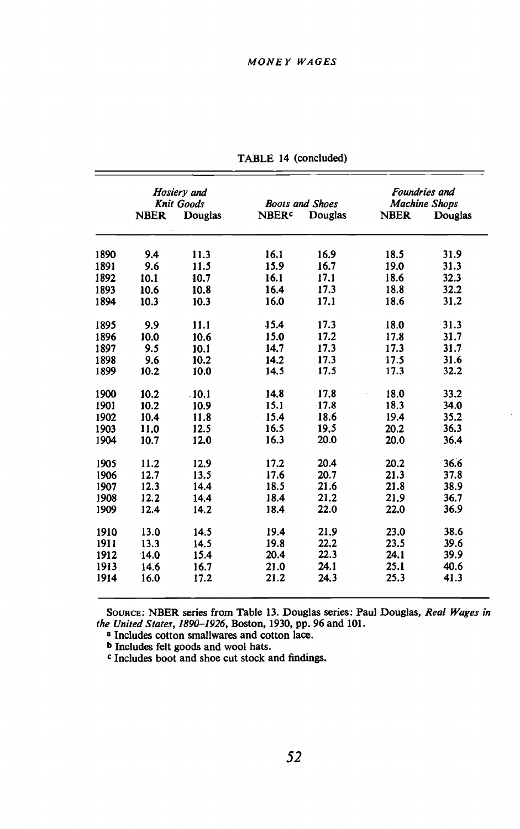|      | Hosiery and<br>Knit Goods |         |                          |                                   |             | Foundries and                   |
|------|---------------------------|---------|--------------------------|-----------------------------------|-------------|---------------------------------|
|      | <b>NBER</b>               | Douglas | <b>NBER</b> <sup>c</sup> | <b>Boots and Shoes</b><br>Douglas | <b>NBER</b> | <b>Machine Shops</b><br>Douglas |
| 1890 | 9.4                       | 11.3    | 16.1                     | 16.9                              | 18.5        | 31.9                            |
| 1891 | 9.6                       | 11.5    | 15.9                     | 16.7                              | 19.0        | 31.3                            |
| 1892 | 10.1                      | 10.7    | 16.1                     | 17.1                              | 18.6        | 32.3                            |
| 1893 | 10.6                      | 10.8    | 16.4                     | 17.3                              | 18.8        | 32.2                            |
| 1894 | 10.3                      | 10.3    | 16.0                     | 17.1                              | 18.6        | 31.2                            |
| 1895 | 9.9                       | 11.1    | 15.4                     | 17.3                              | 18.0        | 31.3                            |
| 1896 | 10.0                      | 10.6    | 15.0                     | 17.2                              | 17.8        | 31.7                            |
| 1897 | 9.5                       | 10.1    | 14.7                     | 17.3                              | 17.3        | 31.7                            |
| 1898 | 9.6                       | 10.2    | 14.2                     | 17.3                              | 17.5        | 31.6                            |
| 1899 | 10.2                      | 10.0    | 14.5                     | 17.5                              | 17.3        | 32.2                            |
| 1900 | 10.2                      | .10.1   | 14.8                     | 17.8                              | 18.0        | 33.2                            |
| 1901 | 10.2                      | 10.9    | 15.1                     | 17.8                              | 18.3        | 34.0                            |
| 1902 | 10.4                      | 11.8    | 15.4                     | 18.6                              | 19.4        | 35.2                            |
| 1903 | 11.0                      | 12.5    | 16.5                     | 19.5                              | 20.2        | 36.3                            |
| 1904 | 10.7                      | 12.0    | 16.3                     | 20.0                              | 20.0        | 36.4                            |
| 1905 | 11.2                      | 12.9    | 17.2                     | 20.4                              | 20.2        | 36.6                            |
| 1906 | 12.7                      | 13.5    | 17.6                     | 20.7                              | 21.3        | 37.8                            |
| 1907 | 12.3                      | 14.4    | 18.5                     | 21.6                              | 21.8        | 38.9                            |
| 1908 | 12.2                      | 14.4    | 18.4                     | 21.2                              | 21.9        | 36.7                            |
| 1909 | 12.4                      | 14.2    | 18.4                     | 22.0                              | 22.0        | 36.9                            |
| 1910 | 13.0                      | 14.5    | 19.4                     | 21.9                              | 23.0        | 38.6                            |
| 1911 | 13.3                      | 14.5    | 19.8                     | 22.2                              | 23.5        | 39.6                            |
| 1912 | 14.0                      | 15.4    | 20.4                     | 22.3                              | 24.1        | 39.9                            |
| 1913 | 14.6                      | 16.7    | 21.0                     | 24.1                              | 25.1        | 40.6                            |
| 1914 | 16.0                      | 17.2    | 21.2                     | 24.3                              | 25.3        | 41.3                            |

TABLE 14 (concluded)

SOURCE: NBER series from Table 13. Douglas series: Paul Douglas, Real Wages in the United States, 1890—1926, Boston, 1930, pp. 96 and 101.

a Includes cotton smaliwares and cotton lace.

b Includes felt goods and wool hats.

c Includes boot and shoe cut stock and findings.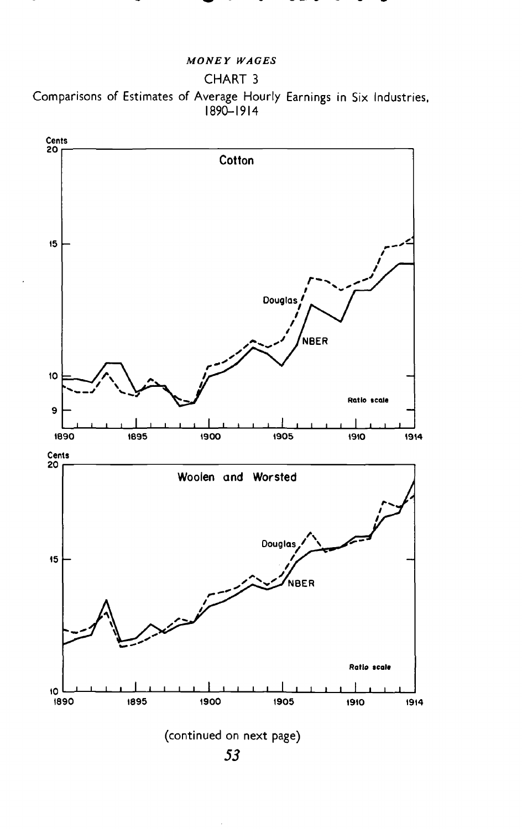# CHART 3

Comparisons of Estimates of Average Hourly Earnings in Six Industries,<br>1890–1914

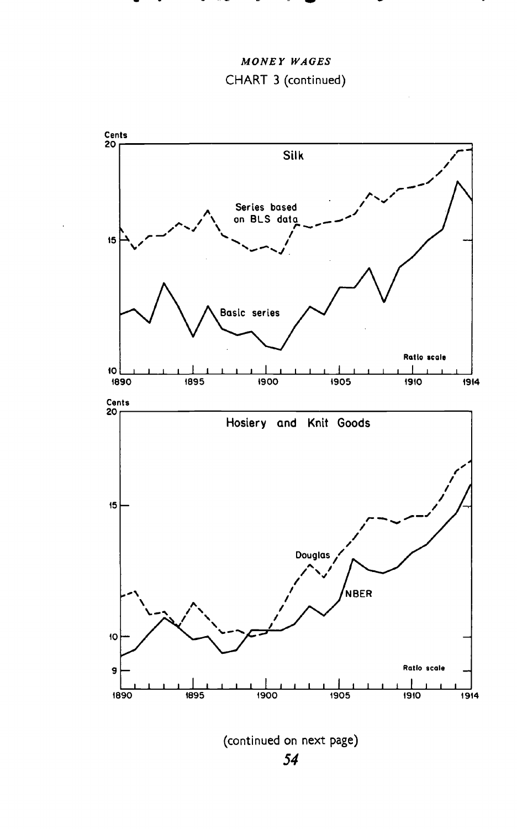MONEY WAGES CHART 3 (continued)

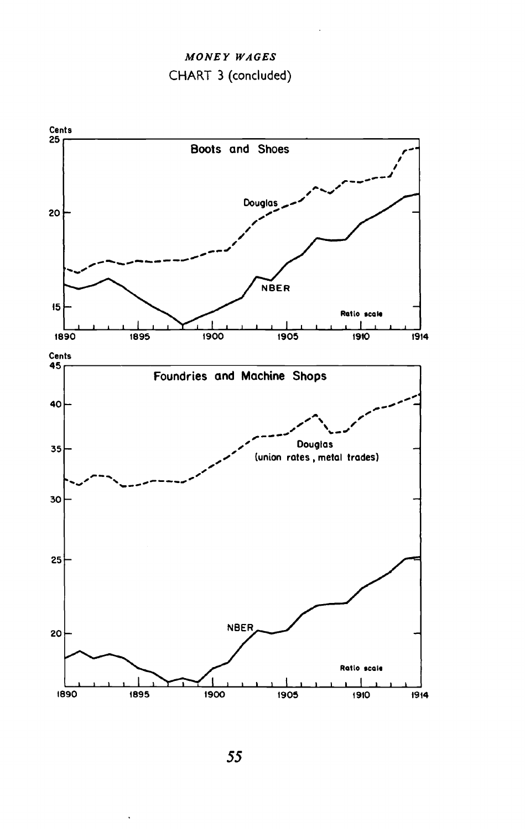MONEY WAGES CHART 3 (concluded)

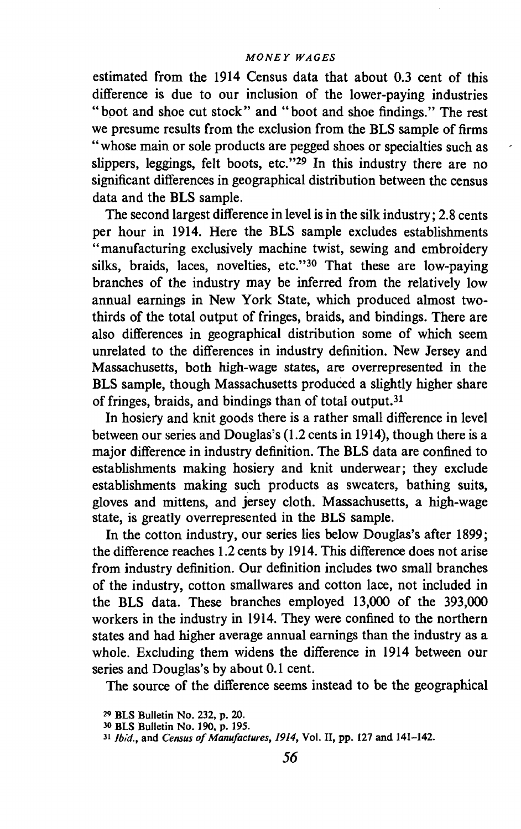estimated from the 1914 Census data that about 0,3 cent of this difference is due to our inclusion of the lower-paying industries "boot and shoe cut stock" and "boot and shoe findings." The rest we presume results from the exclusion from the BLS sample of firms "whose main or sole products are pegged shoes or specialties such as slippers, leggings, felt boots, etc."<sup>29</sup> In this industry there are no significant differences in geographical distribution between the census data and the BLS sample.

The second largest difference in level is in the silk industry; 2.8 cents per hour in 1914. Here the BLS sample excludes establishments "manufacturing exclusively machine twist, sewing and embroidery silks, braids, laces, novelties, etc."<sup>30</sup> That these are low-paying branches of the industry may be inferred from the relatively low annual earnings in New York State, which produced almost twothirds of the total output of fringes, braids, and bindings. There are also differences in geographical distribution some of which seem unrelated to the differences in industry definition. New Jersey and Massachusetts, both high-wage states, are overrepresented in the BLS sample, though Massachusetts produced a slightly higher share of fringes, braids, and bindings than of total output.31

In hosiery and knit goods there is a rather small difference in level between our series and Douglas's (1.2 cents in 1914), though there is a major difference in industry definition. The BLS data are confined to establishments making hosiery and knit underwear; they exclude establishments making such products as sweaters, bathing suits, gloves and mittens, and jersey cloth. Massachusetts, a high-wage state, is greatly overrepresented in the BLS sample.

In the cotton industry, our series lies below Douglas's after 1899; the difference reaches 1.2 cents by 1914. This difference does not arise from industry definition. Our definition includes two small branches of the industry, cotton smaliwares and cotton lace, not included in the BLS data. These branches employed 13,000 of the 393,000 workers in the industry in 1914. They were confined to the northern states and had higher average annual earnings than the industry as a whole. Excluding them widens the difference in 1914 between our series and Douglas's by about 0.1 cent.

The source of the difference seems instead to be the geographical

<sup>29</sup> BLS Bulletin No. 232, p. 20.

<sup>30</sup> BLS Bulletin No. 190, p. 195.

<sup>31</sup> Ibid., and Census of Manufactures, 1914, Vol. II, pp. 127 and 141-142.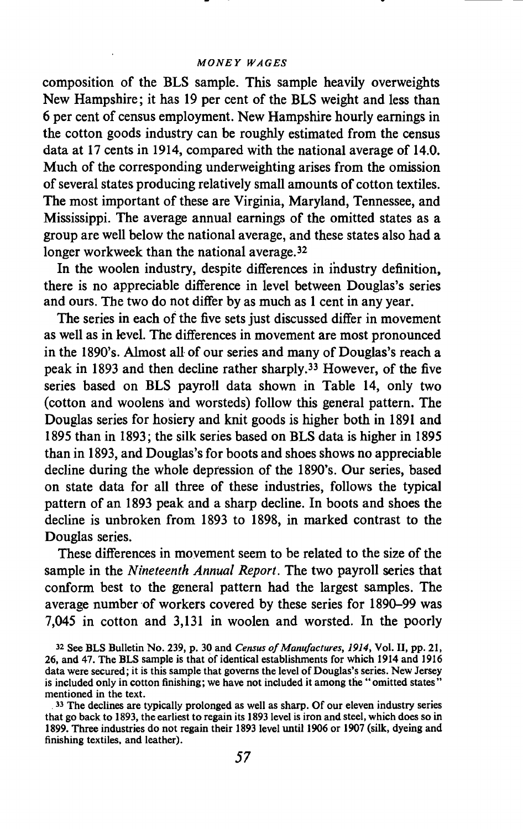composition of the BLS sample. This sample heavily overweights New Hampshire; it has 19 per cent of the BLS weight and less than 6 per cent of census employment. New Hampshire hourly earnings in the cotton goods industry can be roughly estimated from the census data at 17 cents in 1914, compared with the national average of 14.0. Much of the corresponding underweighting arises from the omission of several states producing relatively small amounts of cotton textiles. The most important of these are Virginia, Maryland, Tennessee, and Mississippi. The average annual earnings of the omitted states as a group are well below the national average, and these states also had a longer workweek than the national average.<sup>32</sup>

In the woolen industry, despite differences in ihdustry definition, there is no appreciable difference in level between Douglas's series and ours. The two do not differ by as much as 1 cent in any year.

The series in each of the five sets just discussed differ in movement as well as in level. The differences in movement are most pronounced in the 1890's. Almost all of our series and many of Douglas's reach a peak in 1893 and then decline rather sharply.33 However, of the five series based on BLS payroll data shown in Table 14, only two (cotton and woolens and worsteds) follow this general pattern. The Douglas series for hosiery and knit goods is higher both in 1891 and 1895 than in 1893; the silk series based on BLS data is higher in 1895 than in 1893, and Douglas's for boots and shoes shows no appreciable decline during the whole depression of the 1890's. Our series, based on state data for all three of these industries, follows the typical pattern of an 1893 peak and a sharp decline. In boots and shoes the decline is unbroken from 1893 to 1898, in marked contrast to the Douglas series.

These differences in movement seem to be related to the size of the sample in the Nineteenth Annual Report. The two payroll series that conform best to the general pattern had the largest samples. The average number of workers covered by these series for 1890—99 was 7,045 in cotton and 3,131 in woolen and worsted. In the poorly

<sup>32</sup> See BLS Bulletin No. 239, p. 30 and Census of Manufactures, 1914, Vol. II, pp. 21, 26, and 47. The BLS sample is that of identical establishments for which 1914 and 1916 data were secured; it is this sample that governs the level of Douglas's series. New Jersey is included only in cotton finishing; we have not included it among the "omitted states" mentioned in the text.

<sup>33</sup> The declines are typically prolonged as well as sharp. Of our eleven industry series that go back to 1893, the earliest to regain its 1893 level is iron and steel, which does so in 1899. Three industries do not regain their 1893 level until I 906 or 1907 (silk, dyeing and finishing textiles, and leather).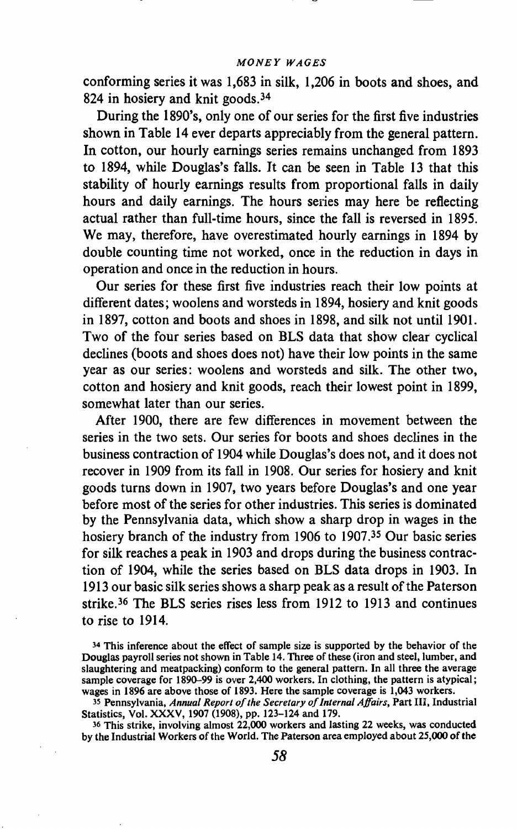conforming series it was 1,683 in silk, 1,206 in boots and shoes, and 824 in hosiery and knit goods.34

During the 1890's, only one of our series for the first five industries shown in Table 14 ever departs appreciably from the general pattern. In cotton, our hourly earnings series remains unchanged from 1893 to 1894, while Douglas's falls. It can be seen in Table 13 that this stability of hourly earnings results from proportional falls in daily hours and daily earnings. The hours series may here be reflecting actual rather than full-time hours, since the fall is reversed in 1895. We may, therefore, have overestimated hourly earnings in 1894 by double counting time not worked, once in the reduction in days in operation and once in the reduction in hours.

Our series for these first five industries reach their low points at different dates; woolens and worsteds in 1894, hosiery and knit goods in 1897, cotton and boots and shoes in 1898, and silk not until 1901. Two of the four series based on BLS data that show clear cyclical declines (boots and shoes does not) have their low points in the same year as our series: woolens and worsteds and silk. The other two, cotton and hosiery and knit goods, reach their lowest point in 1899, somewhat later than our series.

After 1900, there are few differences in movement between the series in the two sets. Our series for boots and shoes declines in the business contraction of 1904 while Douglas's does not, and it does not recover in 1909 from its fall in 1908. Our series for hosiery and knit goods turns down in 1907, two years before Douglas's and one year before most of the series for other industries. This series is dominated by the Pennsylvania data, which show a sharp drop in wages in the hosiery branch of the industry from 1906 to 1907.<sup>35</sup> Our basic series for silk reaches a peak in 1903 and drops during the business contraction of 1904, while the series based on BLS data drops in 1903. In 1913 our basic silk series shows a sharp peak as a result of the Paterson strike.36 The BLS series rises less from 1912 to 1913 and continues to rise to 1914.

<sup>34</sup> This inference about the effect of sample size is supported by the behavior of the Douglas payroll series not shown in Table 14. Three of these (iron and steel, lumber, and slaughtering and meatpacking) conform to the general pattern. In all three the average sample coverage for 1890–99 is over 2,400 workers. In clothing, the pattern is atypical; wages in 1896 are above those of 1893. Here the sample coverage is 1,043 workers.

<sup>&</sup>lt;sup>35</sup> Pennsylvania, Annual Report of the Secretary of Internal Affairs, Part III, Industrial Statistics, Vol. XXXV, 1907 (1908), pp. 123—124 and 179.

<sup>36</sup> This strike, involving almost 22,000 workers and lasting 22 weeks, was conducted by the Industrial Workers of the World. The Paterson area employed about 25,000 of the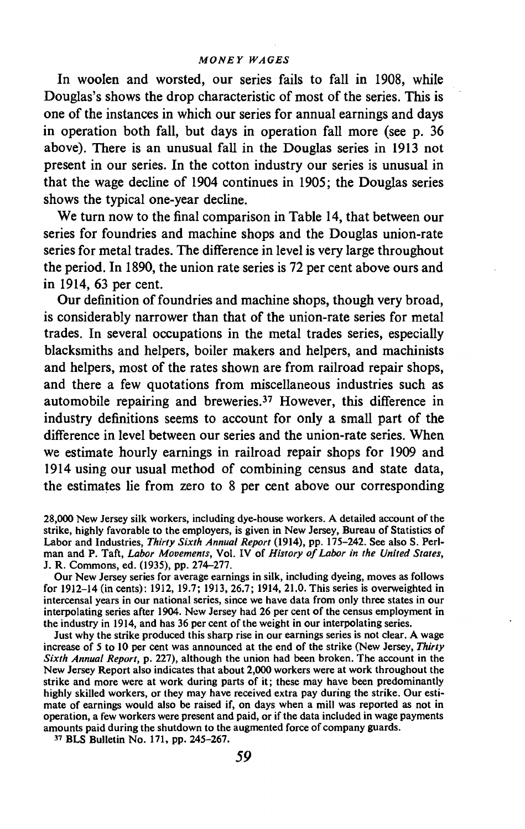In woolen and worsted, our series fails to fall in 1908, while Douglas's shows the drop characteristic of most of the series. This is one of the instances in which our series for annual earnings and days in operation both fall, but days in operation fall more (see p. 36 above). There is an unusual fall in the Douglas series in 1913 not present in our series. In the cotton industry our series is unusual in that the wage decline of 1904 continues in 1905; the Douglas series shows the typical one-year decline.

We turn now to the final comparison in Table 14, that between our series for foundries and machine shops and the Douglas union-rate series for metal trades. The difference in level is very large throughout the period. In 1890, the union rate series is 72 per cent above ours and in 1914, 63 per cent.

Our definition of foundries and machine shops, though very broad, is considerably narrower than that of the union-rate series for metal trades. In several occupations in the metal trades series, especially blacksmiths and helpers, boiler makers and helpers, and machinists and helpers, most of the rates shown are from railroad repair shops, and there a few quotations from miscellaneous industries such as automobile repairing and breweries.37 However, this difference in industry definitions seems to account for only a small part of the difference in level between our series and the union-rate series. When we estimate hourly earnings in railroad repair shops for 1909 and 1914 using our usual method of combining census and state data, the estimates lie from zero to 8 per cent above our corresponding

28,000 New Jersey silk workers, including dye-house workers. A detailed account of the strike, highly favorable to the employers, is given in New Jersey, Bureau of Statistics of Labor and Industries, Thirty Sixth Annual Report (1914), pp. 175-242. See also S. Perlman and P. Taft, Labor Movements, Vol. IV of History of Labor in the United States, J. R. Commons, ed. (1935), pp. 274—277.

Our New Jersey series for average earnings in silk, including dyeing, moves as follows for 1912—14 (in cents): 1912, 19.7; 1913, 26.7; 1914, 21.0. This series is overweighted in intercensal years in our national series, since we have data from only three states in our interpolating series after 1904. New Jersey had 26 per cent of the census employment in the industry in 1914, and has 36 per cent of the weight in our interpolating series.

Just why the strike produced this sharp rise in our earnings series is not clear. A wage increase of 5 to 10 per cent was announced at the end of the strike (New Jersey, Thirty Sixth Annual Report, p. 227), although the union had been broken. The account in the New Jersey Report also indicates that about 2,000 workers were at work throughout the strike and more were at work during parts of it; these may have been predominantly highly skilled workers, or they may have received extra pay during the strike. Our estimate of earnings would also be raised if, on days when a mill was reported as not in operation, a few workers were present and paid, or if the data included in wage payments amounts paid during the shutdown to the augmented force of company guards.

BLS Bulletin No. 171, pp. 245—267.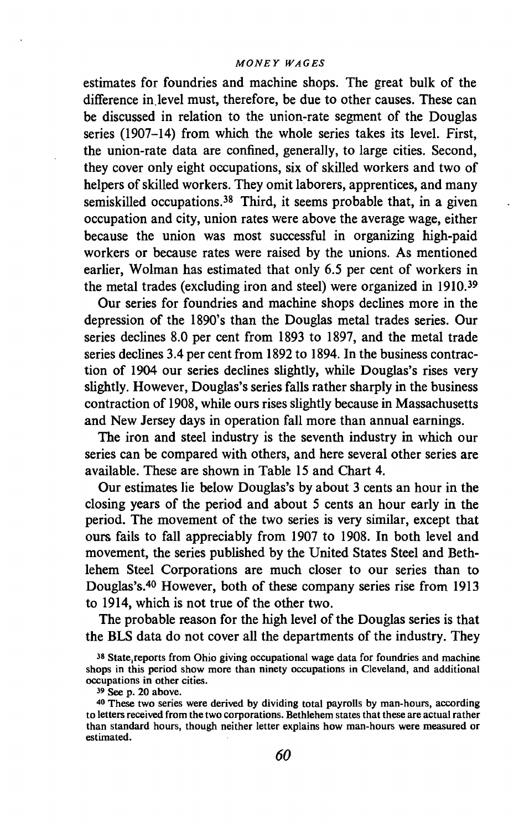estimates for foundries and machine shops. The great bulk of the difference in level must, therefore, be due to other causes. These can be discussed in relation to the union-rate segment of the Douglas series (1907–14) from which the whole series takes its level. First, the union-rate data are confined, generally, to large cities. Second, they cover only eight occupations, six of skilled workers and two of helpers of skilled workers. They omit laborers, apprentices, and many semiskilled occupations.<sup>38</sup> Third, it seems probable that, in a given occupation and city, union rates were above the average wage, either because the union was most successful in organizing high-paid workers or because rates were raised by the unions. As mentioned earlier, Wolman has estimated that only 6.5 per cent of workers in the metal trades (excluding iron and steel) were organized in 1910.<sup>39</sup>

Our series for foundries and machine shops declines more in the depression of the 1890's than the Douglas metal trades series. Our series declines 8.0 per cent from 1893 to 1897, and the metal trade series declines 3.4 per cent from 1892 to 1894. In the business contraction of 1904 our series declines slightly, while Douglas's rises very slightly. However, Douglas's series falls rather sharply in the business contraction of 1908, while ours rises slightly because in Massachusetts and New Jersey days in operation fall more than annual earnings.

The iron and steel industry is the seventh industry in which our series can be compared with others, and here several other series are available. These are shown in Table 15 and Chart 4.

Our estimates lie below Douglas's by about 3 cents an hour in the closing years of the period and about 5 cents an hour early in the period. The movement of the two series is very similar, except that ours fails to fall appreciably from 1907 to 1908. In both level and movement, the series published by the United States Steel and Bethlehem Steel Corporations are much closer to our series than to Douglas's.4° However, both of these company series rise from 1913 to 1914, which is not true of the other two.

The probable reason for the high level of the Douglas series is that the BLS data do not cover all the departments of the industry. They

 $39$  See p. 20 above.

<sup>38</sup> State, reports from Ohio giving occupational wage data for foundries and machine shops in this period show more than ninety occupations in Cleveland, and additional occupations in other cities.

<sup>40</sup> These two series were derived by dividing total payrolls by man-hours, according to letters received from the two corporations. Bethlehem states that these are actual rather than standard hours, though neither letter explains how man-hours were measured or estimated.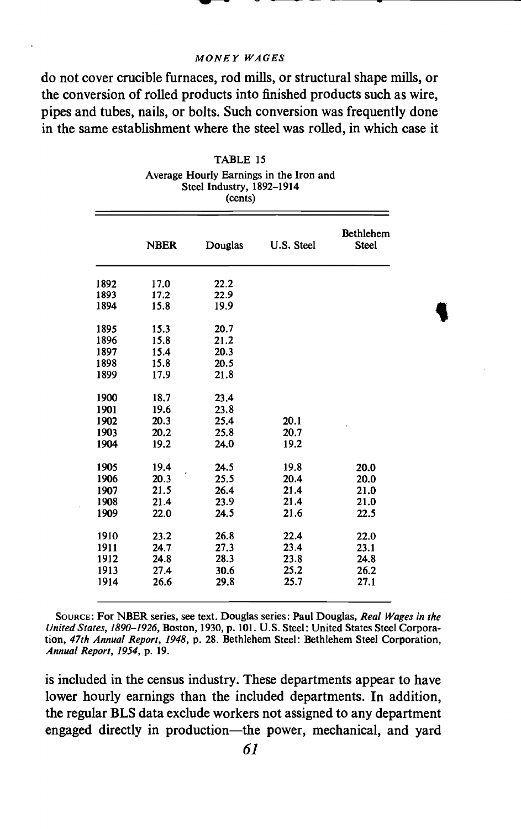# $\bullet$  -  $\bullet$  -  $\bullet$  -  $\bullet$  -  $\bullet$  -  $\bullet$  -  $\bullet$  -  $\bullet$  -  $\bullet$  -  $\bullet$  -  $\bullet$  -  $\bullet$  -  $\bullet$  -  $\bullet$  -  $\bullet$  -  $\bullet$  -  $\bullet$  -  $\bullet$  -  $\bullet$  -  $\bullet$  -  $\bullet$  -  $\bullet$  -  $\bullet$  -  $\bullet$  -  $\bullet$  -  $\bullet$  -  $\bullet$  -  $\bullet$  -  $\bullet$  -  $\bullet$  -  $\bullet$  -  $\bullet$

#### MONEY WAGES

do not cover crucible furnaces, rod mills, or structural shape mills, or the conversion of rolled products into finished products such as wire, pipes and tubes, nails, or bolts. Such conversion was frequently done in the same establishment where the steel was rolled, in which case it

|      | (cents)     |         |            |                                  |  |
|------|-------------|---------|------------|----------------------------------|--|
|      | <b>NBER</b> | Douglas | U.S. Steel | <b>Bethlehem</b><br><b>Steel</b> |  |
| 1892 | 17.0        | 22.2    |            |                                  |  |
| 1893 | 17.2        | 22.9    |            |                                  |  |
| 1894 | 15.8        | 19.9    |            |                                  |  |
| 1895 | 15.3        | 20.7    |            |                                  |  |
| 1896 | 15.8        | 21.2    |            |                                  |  |
| 1897 | 15.4        | 20.3    |            |                                  |  |
| 1898 | 15.8        | 20.5    |            |                                  |  |
| 1899 | 17.9        | 21.8    |            |                                  |  |
| 1900 | 18.7        | 23.4    |            |                                  |  |
| 1901 | 19.6        | 23.8    |            |                                  |  |
| 1902 | 20.3        | 25.4    | 20.1       |                                  |  |
| 1903 | 20.2        | 25.8    | 20.7       |                                  |  |
| 1904 | 19.2        | 24.0    | 19.2       |                                  |  |
| 1905 | 19.4        | 24.5    | 19.8       | 20.0                             |  |
| 1906 | 20.3        | 25.5    | 20.4       | 20.0                             |  |
| 1907 | 21.5        | 26.4    | 21.4       | 21.0                             |  |
| 1908 | 21.4        | 23.9    | 21.4       | 21.0                             |  |
| 1909 | 22.0        | 24.5    | 21.6       | 22.5                             |  |
| 1910 | 23.2        | 26.8    | 22.4       | 22.0                             |  |
| 1911 | 24.7        | 27.3    | 23.4       | 23.1                             |  |
| 1912 | 24.8        | 28.3    | 23.8       | 24.8                             |  |
| 1913 | 27.4        | 30.6    | 25.2       | 26.2                             |  |
| 1914 | 26.6        | 29.8    | 25.7       | 27.1                             |  |
|      |             |         |            |                                  |  |

TABLE 15 Average Hourly Earnings in the Iron and Steel Industry, 1892—1914

SOURCE: For NBER series, see text. Douglas series: Paul Douglas, Real Wages in the United States, 1890—1926, Boston, 1930, p. 101. U.S. Steel: United States Steel Corporation, 47th Annual Report, 1948, p. 28. Bethlehem Steel: Bethlehem Steel Corporation, Annual Report, 1954, p. 19.

is included in the census industry. These departments appear to have lower hourly earnings than the included departments. In addition, the regular BLS data exclude workers not assigned to any department engaged directly in production—the power, mechanical, and yard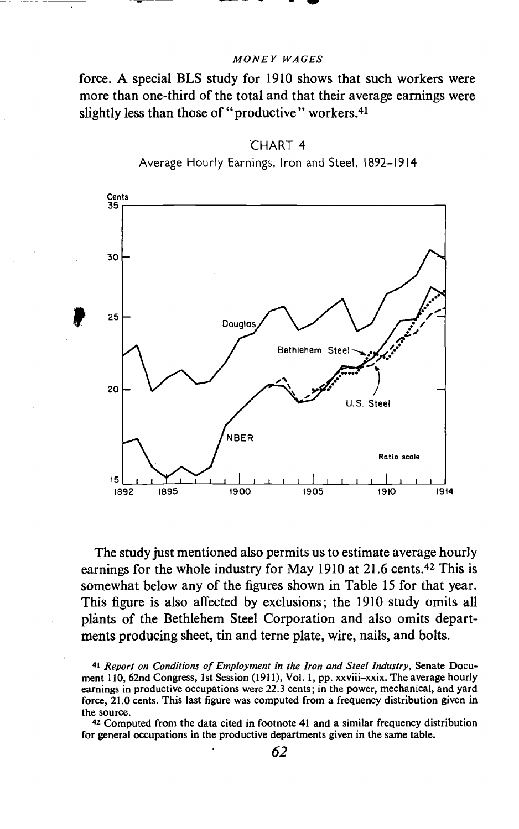force. A special BLS study for 1910 shows that such workers were more than one-third of the total and that their average earnings were slightly less than those of "productive" workers.<sup>41</sup>



•CHART 4 Average Hourly Earnings, Iron and Steel, 1892—1914

The study just mentioned also permits us to estimate average hourly earnings for the whole industry for May 1910 at 21.6 cents.42 This is somewhat below any of the figures shown in Table 15 for that year. This figure is also affected by exclusions; the 1910 study omits all plants of the Bethlehem Steel Corporation and also omits departments producing sheet, tin and terne plate, wire, nails, and bolts.

<sup>41</sup> Report on Conditions of Employment in the iron and Steel industry, Senate Document 110, 62nd Congress, 1st Session (1911), Vol. 1, pp. xxviii—xxix. The average hourly earnings in productive occupations were 22.3 cents; in the power, mechanical, and yard force, 21.0 cents. This last figure was computed from a frequency distribution given in the source.

<sup>42</sup> Computed from the data cited in footnote 41 and a similar frequency distribution for general occupations in the productive departments given in the same table.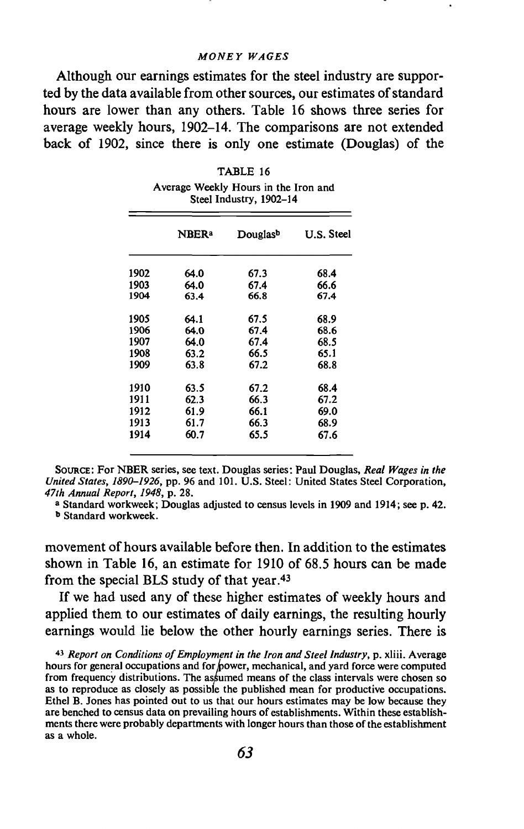Although our earnings estimates for the steel industry are supported by the data available from other sources, our estimates of standard hours are lower than any others. Table 16 shows three series for average weekly hours, 1902—14. The comparisons are not extended back of 1902, since there is only one estimate (Douglas) of the

|      | <b>NBERa</b> | Douglasb | U.S. Steel |
|------|--------------|----------|------------|
| 1902 | 64.0         | 67.3     | 68.4       |
| 1903 | 64.0         | 67.4     | 66.6       |
| 1904 | 63.4         | 66.8     | 67.4       |
| 1905 | 64.1         | 67.5     | 68.9       |
| 1906 | 64.0         | 67.4     | 68.6       |
| 1907 | 64.0         | 67.4     | 68.5       |
| 1908 | 63.2         | 66.5     | 65.1       |
| 1909 | 63.8         | 67.2     | 68.8       |
| 1910 | 63.5         | 67.2     | 68.4       |
| 1911 | 62.3         | 66.3     | 67.2       |
| 1912 | 61.9         | 66.1     | 69.0       |
| 1913 | 61.7         | 66.3     | 68.9       |
| 1914 | 60.7         | 65.5     | 67.6       |

TABLE 16 Average Weekly Hours in the Iron and Steel Industry, 1902—14

SOURCE: For NBER series, see text. Douglas series: Paul Douglas, Real Wages in the United States, 1890-1926, pp. 96 and 101. U.S. Steel: United States Steel Corporation, 47th Annual Report, 1948, p. 28.

a Standard workweek; Douglas adjusted to census levels in 1909 and 1914; see p. 42. b Standard workweek.

movement of hours available before then. In addition to the estimates shown in Table 16, an estimate for 1910 of 68.5 hours can be made from the special BLS study of that year.43

If we had used any of these higher estimates of weekly hours and applied them to our estimates of daily earnings, the resulting hourly earnings would lie below the other hourly earnings series. There is

 $43$  Report on Conditions of Employment in the Iron and Steel Industry, p. xliii. Average hours for general occupations and for power, mechanical, and yard force were computed from frequency distributions. The assumed means of the class intervals were chosen so as to reproduce as closely as possible the published mean for productive occupations. Ethel B. Jones has pointed out to us that our hours estimates may be low because they are benched to census data on prevailing hours of establishments. Within these establishments there were probably departments with longer hours than those of the establishment as a whole.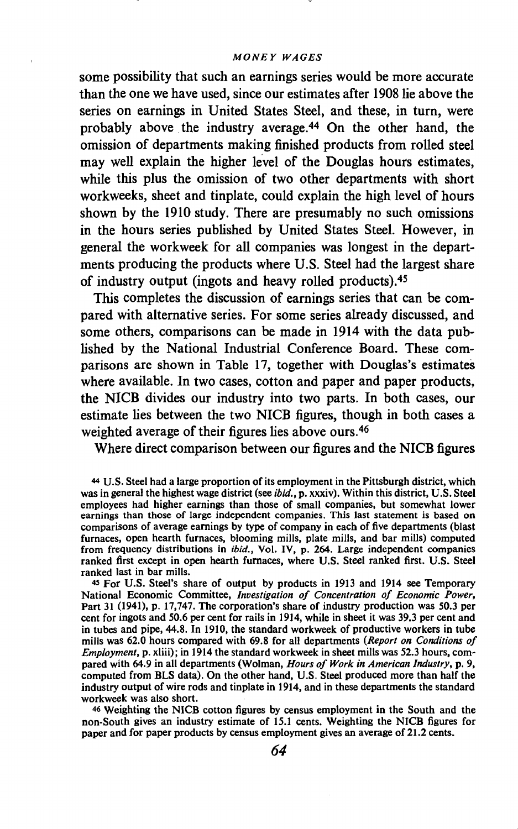some possibility that such an earnings series would be more accurate than the one we have used, since our estimates after 1908 lie above the series on earnings in United States Steel, and these, in turn, were probably above the industry average.44 On the other hand, the omission of departments making finished products from rolled steel may well explain the higher level of the Douglas hours estimates, while this plus the omission of two other departments with short workweeks, sheet and tinpiate, could explain the high level of hours shown by the 1910 study. There are presumably no such omissions in the hours series published by United States Steel. However, in general the workweek for all companies was longest in the departments producing the products where U.S. Steel had the largest share of industry output (ingots and heavy rolled products).45

This completes the discussion of earnings series that can be compared with alternative series. For some series already discussed, and some others, comparisons can be made in 1914 with the data published by the National Industrial Conference Board. These comparisons are shown in Table 17, together with Douglas's estimates where available. In two cases, cotton and paper and paper products, the NICB divides our industry into two parts. In both cases, our estimate lies between the two NICB figures, though in both cases a weighted average of their figures lies above ours.46

Where direct comparison between our figures and the NICB figures

<sup>45</sup> For U.S. Steel's share of output by products in 1913 and 1914 see Temporary National Economic Committee, Investigation of Concentration of Economic Power, Part 31 (1941), p. 17,747. The corporation's share of industry production was 50.3 per cent for ingots and 50.6 per cent for rails in 1914, while in sheet it was 39.3 per cent and in tubes and pipe, 44.8. In 1910, the standard workweek of productive workers in tube mills was 62.0 hours compared with 69.8 for all departments (Report on Conditions of Employment, p. xliii); in 1914 the standard workweek in sheet mills was 52.3 hours, compared with 64.9 in all departments (Wolman, Hours of Work in American Industry, p. 9, computed from BLS data). On the other hand, U.S. Steel produced more than half the industry output of wire rods and tinplate in 1914, and in these departments the standard workweek was also short.

<sup>46</sup> Weighting the NICB cotton figures by census employment in the South and the non-South gives an industry estimate of 15.1 cents. Weighting the NICB figures for paper and for paper products by census employment gives an average of 21.2 cents.

<sup>44</sup> U.S. Steel had a large proportion of its employment in the Pittsburgh district, which was in general the highest wage district (see *ibid.*, p. xxxiv). Within this district, U.S. Steel employees had higher earnings than those of small companies, but somewhat lower earnings than those of large independent companies. This last statement is based on comparisons of average earnings by type of company in each of five departments (blast furnaces, open hearth furnaces, blooming mills, plate mills, and bar mills) computed from frequency distributions in ibid., Vol. IV, p. 264. Large independent companies ranked first except in open hearth furnaces, where U.S. Steel ranked first. U.S. Steel ranked last in bar mills.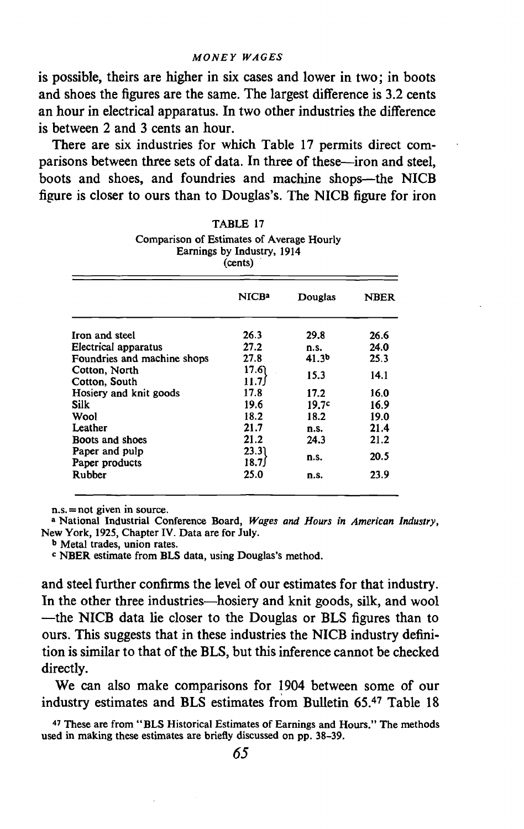is possible, theirs are higher in six cases and lower in two; in boots and shoes the figures are the same. The largest difference is 3.2 cents an hour in electrical apparatus. In two other industries the difference is between 2 and 3 cents an hour.

There are six industries for which Table 17 permits direct comparisons between three sets of data. In three of these—iron and steel, boots and shoes, and foundries and machine shops—the NICB figure is closer to ours than to Douglas's. The NICB figure for iron

|                                  | NICB <sup>a</sup> | Douglas           | <b>NBER</b> |
|----------------------------------|-------------------|-------------------|-------------|
| Iron and steel                   | 26.3              | 29.8              | 26.6        |
| Electrical apparatus             | 27.2              | n.s.              | 24.0        |
| Foundries and machine shops      | 27.8              | 41.3 <sup>b</sup> | 25.3        |
| Cotton, North                    | 17.6              | 15.3              | 14.1        |
| Cotton, South                    | 11.7              |                   |             |
| Hosiery and knit goods           | 17.8              | 17.2              | 16.0        |
| <b>Silk</b>                      | 19.6              | 19.7c             | 16.9        |
| Wool                             | 18.2              | 18.2              | 19.0        |
| Leather                          | 21.7              | n.s.              | 21.4        |
| Boots and shoes                  | 21.2              | 24.3              | 21.2        |
| Paper and pulp<br>Paper products | 23.3<br>18.7      | n.s.              | 20.5        |
| Rubber                           | 25.0              | n.s.              | 23.9        |

| TABLE 17                                  |  |
|-------------------------------------------|--|
| Comparison of Estimates of Average Hourly |  |
| Earnings by Industry, 1914                |  |
| (cents)                                   |  |

n.s. = not given in source.

<sup>a</sup> National Industrial Conference Board, Wages and Hours in American Industry, New York, 1925, Chapter IV. Data are for July.

b Metal trades, union rates.

c NBER estimate from BLS data, using Douglas's method.

and steel further confirms the level of our estimates for that industry. In the other three industries—hosiery and knit goods, silk, and wool —the NICB data lie closer to the Douglas or BLS figures than to ours. This suggests that in these industries the NICB industry definition is similar to that of the BLS, but this inference cannot be checked directly.

We can also make comparisons for 1904 between some of our industry estimates and BLS estimates from Bulletin 65.<sup>47</sup> Table 18

<sup>47</sup> These are from "BLS Historical Estimates of Earnings and Hours." The methods used in making these estimates are briefly discussed on pp. 38-39.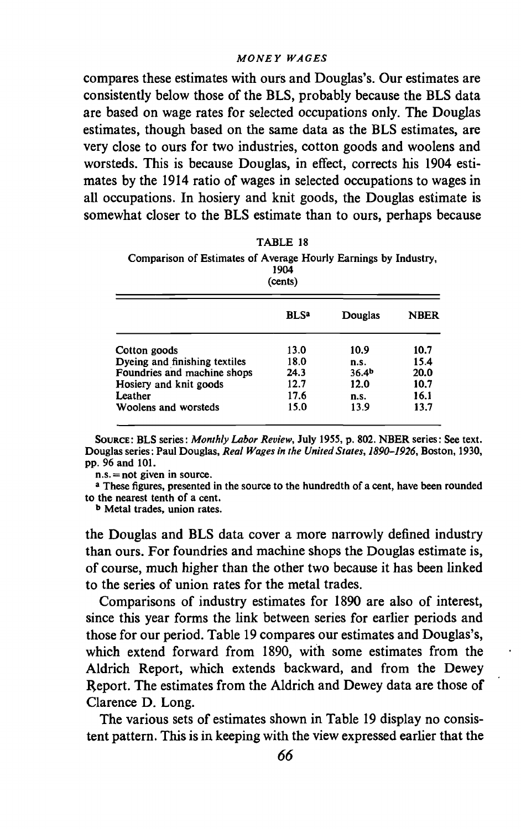compares these estimates with ours and Douglas's. Our estimates are consistently below those of the BLS, probably because the BLS data are based on wage rates for selected occupations only. The Douglas estimates, though based on the same data as the BLS estimates, are very close to ours for two industries, cotton goods and woolens and worsteds. This is because Douglas, in effect, corrects his 1904 estimates by the 1914 ratio of wages in selected occupations to wages in all occupations. In hosiery and knit goods, the Douglas estimate is somewhat closer to the BLS estimate than to ours, perhaps because

TABLE 18

| Comparison of Estimates of Average Hourly Earnings by Industry,<br>1904<br>(cents) |                        |                   |             |
|------------------------------------------------------------------------------------|------------------------|-------------------|-------------|
|                                                                                    | <b>BLS<sup>a</sup></b> | Douglas           | <b>NBER</b> |
| Cotton goods                                                                       | 13.0                   | 10.9              | 10.7        |
| Dyeing and finishing textiles                                                      | 18.0                   | n.s.              | 15.4        |
| Foundries and machine shops                                                        | 24.3                   | 36.4 <sup>b</sup> | 20.0        |
| Hosiery and knit goods                                                             | 12.7                   | 12.0              | 10.7        |
| Leather                                                                            | 17.6                   | n.s.              | 16.1        |
| Woolens and worsteds                                                               | 15.0                   | 13.9              | 13.7        |

SOURCE: BLS series: Monthly Labor Review, July 1955, p. 802. NBER series: See text. Douglas series: Paul Douglas, Real Wages in the United States, 1890-1926, Boston, 1930, pp. 96 and 101.

 $n.s. = not given in source.$ 

<sup>a</sup> These figures, presented in the source to the hundredth of a cent, have been rounded to the nearest tenth of a cent.

b Metal trades, union rates.

the Douglas and BLS data cover a more narrowly defined industry than ours. For foundries and machine shops the Douglas estimate is, of course, much higher than the other two because it has been linked to the series of union rates for the metal trades.

Comparisons of industry estimates for 1890 are also of interest, since this year forms the link between series for earlier periods and those for our period. Table 19 compares our estimates and Douglas's, which extend forward from 1890, with some estimates from the Aldrich Report, which extends backward, and from the Dewey Report. The estimates from the Aldrich and Dewey data are those of Clarence D. Long.

The various sets of estimates shown in Table 19 display no consistent pattern. This is in keeping with the view expressed earlier that the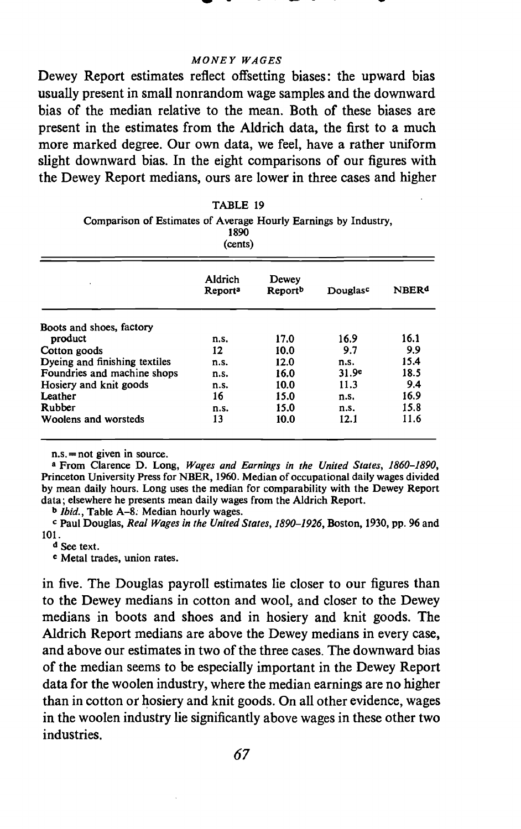$\bullet$  -  $\bullet$  -  $\bullet$  -  $\bullet$  -  $\bullet$  -  $\bullet$  -  $\bullet$  -  $\bullet$  -  $\bullet$  -  $\bullet$  -  $\bullet$  -  $\bullet$  -  $\bullet$  -  $\bullet$  -  $\bullet$  -  $\bullet$  -  $\bullet$  -  $\bullet$  -  $\bullet$  -  $\bullet$  -  $\bullet$  -  $\bullet$  -  $\bullet$  -  $\bullet$  -  $\bullet$  -  $\bullet$  -  $\bullet$  -  $\bullet$  -  $\bullet$  -  $\bullet$  -  $\bullet$  -  $\bullet$ 

Dewey Report estimates reflect offsetting biases: the upward bias usually present in small nonrandom wage samples and the downward bias of the median relative to the mean. Both of these biases are present in the estimates from the Aldrich data, the first to a much more marked degree. Our own data, we feel, have a rather uniform slight downward bias. In the eight comparisons of our figures with the Dewey Report medians, ours are lower in three cases and higher

| Comparison of Estimates of Average Hourly Earnings by Industry, | 1890<br>(cents)                |                  |                   |                         |
|-----------------------------------------------------------------|--------------------------------|------------------|-------------------|-------------------------|
|                                                                 | Aldrich<br>Report <sup>a</sup> | Dewey<br>Reportb | Douglasc          | <b>NBER<sup>d</sup></b> |
| Boots and shoes, factory                                        |                                |                  |                   |                         |
| product                                                         | n.s.                           | 17.0             | 16.9              | 16.1                    |
| Cotton goods                                                    | 12                             | 10.0             | 9.7               | 9.9                     |
| Dyeing and finishing textiles                                   | n.s.                           | 12.0             | n.s.              | 15.4                    |
| Foundries and machine shops                                     | n.s.                           | 16.0             | 31.9 <sup>e</sup> | 18.5                    |
| Hosiery and knit goods                                          | n.s.                           | 10.0             | 11.3              | 9.4                     |
| Leather                                                         | 16                             | 15.0             | n.s.              | 16.9                    |
| Rubber                                                          | n.s.                           | 15.0             | n.S.              | 15.8                    |
| Woolens and worsteds                                            | 13                             | 10.0             | 12.1              | 11.6                    |

TABLE 19

n.s. = not given in source.

<sup>a</sup> From Clarence D. Long, Wages and Earnings in the United States, 1860—1890, Princeton University Press for NBER, 1960. Median of occupational daily wages divided by mean daily hours. Long uses the median for comparability with the Dewey Report data; elsewhere he presents mean daily wages from the Aldrich Report.

b Ibid., Table A—8. Median hourly wages.

c Paul Douglas, Real Wages in the United States, 1890-1926, Boston, 1930, pp. 96 and 101.

d See text.

e Metal trades, union rates.

in five. The Douglas payroll estimates lie closer to our figures than to the Dewey medians in cotton and wool, and closer to the Dewey medians in boots and shoes and in hosiery and knit goods. The Aldrich Report medians are above the Dewey medians in every case, and above our estimates in two of the three cases. The downward bias of the median seems to be especially important in the Dewey Report data for the woolen industry, where the median earnings are no higher than in cotton or hosiery and knit goods. On all other evidence, wages in the woolen industry lie significantly above wages in these other two industries.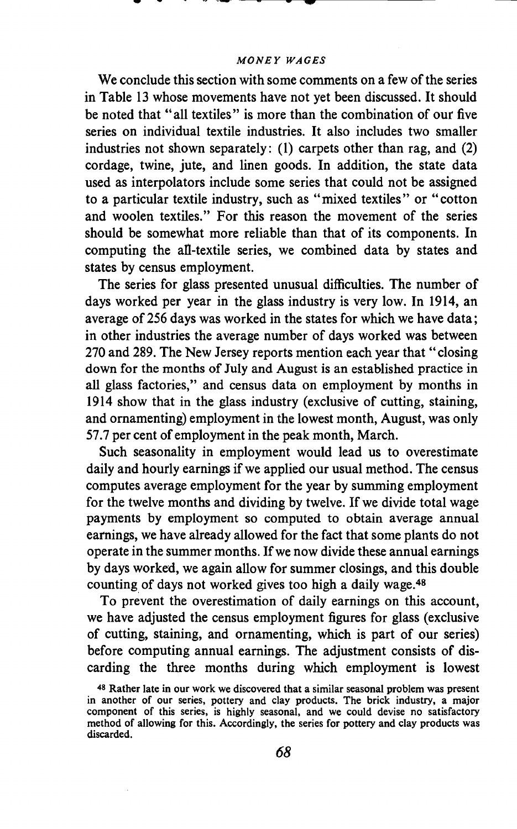We conclude this section with some comments on a few of the series in Table 13 whose movements have not yet been discussed. It should be noted that "all textiles" is more than the combination of our five series on individual textile industries. It also includes two smaller industries not shown separately: (1) carpets other than rag, and (2) cordage, twine, jute, and linen goods. In addition, the state data used as interpolators include some series that could not be assigned to a particular textile industry, such as "mixed textiles" or "cotton and woolen textiles." For this reason the movement of the series should be somewhat more reliable than that of its components. In computing the all-textile series, we combined data by states and states by census employment.

The series for glass presented unusual difficulties. The number of days worked per year in the glass industry is very low. In 1914, an average of 256 days was worked in the states for which we have data; in other industries the average number of days worked was between 270 and 289. The New Jersey reports mention each year that "closing down for the months of July and August is an established practice in all glass factories," and census data on employment by months in 1914 show that in the glass industry (exclusive of cutting, staining, and ornamenting) employment in the lowest month, August, was only 57.7 per cent of employment in the peak month, March.

Such seasonality in employment would lead us to overestimate daily and hourly earnings if we applied our usual method. The census computes average employment for the year by summing employment for the twelve months and dividing by twelve. If we divide total wage payments by employment so computed to obtain average annual earnings, we have already allowed for the fact that some plants do not operate in the summer months. If we now divide these annual earnings by days worked, we again allow for summer closings, and this double counting of days not worked gives too high a daily wage.48

To prevent the overestimation of daily earnings on this account, we have adjusted the census employment figures for glass (exclusive of cutting, staining, and ornamenting, which is part of our series) before computing annual earnings. The adjustment consists of discarding the three months during which employment is lowest

<sup>48</sup> Rather late in our work we discovered that a similar seasonal problem was present in another of our series, pottery and clay products. The brick industry, a major component of this series, is highly seasonal, and we could devise no satisfactory method of allowing for this. Accordingly, the series for pottery and clay products was discarded.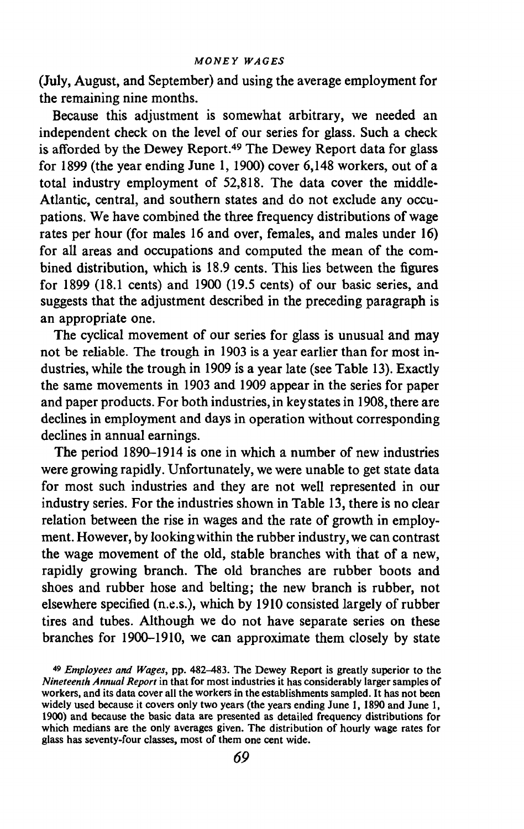(July, August, and September) and using the average employment for the remaining nine months.

Because this adjustment is somewhat arbitrary, we needed an independent check on the level of our series for glass. Such a check is afforded by the Dewey Report.<sup>49</sup> The Dewey Report data for glass for 1899 (the year ending June 1, 1900) cover 6,148 workers, out of a total industry employment of 52,818. The data cover the middle-Atlantic, central, and southern states and do not exclude any occupations. We have combined the three frequency distributions of wage rates per hour (for males 16 and over, females, and males under 16) for all areas and occupations and computed the mean of the combined distribution, which is 18.9 cents. This lies between the figures for 1899 (18.1 cents) and 1900 (19.5 cents) of our basic series, and suggests that the adjustment described in the preceding paragraph is an appropriate one.

The cyclical movement of our series for glass is unusual and may not be reliable. The trough in 1903 is a year earlier than for most industries, while the trough in 1909 is a year late (see Table 13). Exactly the same movements in 1903 and 1909 appear in the series for paper and paper products. For both industries, in key states in 1908, there are declines in employment and days in operation without corresponding declines in annual earnings.

The period 1890—1914 is one in which a number of new industries were growing rapidly. Unfortunately, we were unable to get state data for most such industries and they are not well represented in our industry series. For the industries shown in Table 13, there is no clear relation between the rise in wages and the rate of growth in employment. However, by looking within the rubber industry, we can contrast the wage movement of the old, stable branches with that of a new, rapidly growing branch. The old branches are rubber boots and shoes and rubber hose and belting; the new branch is rubber, not elsewhere specified (n.e.s.), which by 1910 consisted largely of rubber tires and tubes. Although we do not have separate series on these branches for 1900—1910, we can approximate them closely by state

<sup>49</sup> Employees and Wages, pp. 482—483. The Dewey Report is greatly superior to the Nineteenth Annual Report in that for most industries it has considerably larger samples of workers, and its data cover all the workers in the establishments sampled. It has not been widely used because it covers only two years (the years ending June 1, 1890 and June 1, 1900) and because the basic data are presented as detailed frequency distributions for which medians are the only averages given. The distribution of hourly wage rates for glass has seventy-four classes, most of them one cent wide.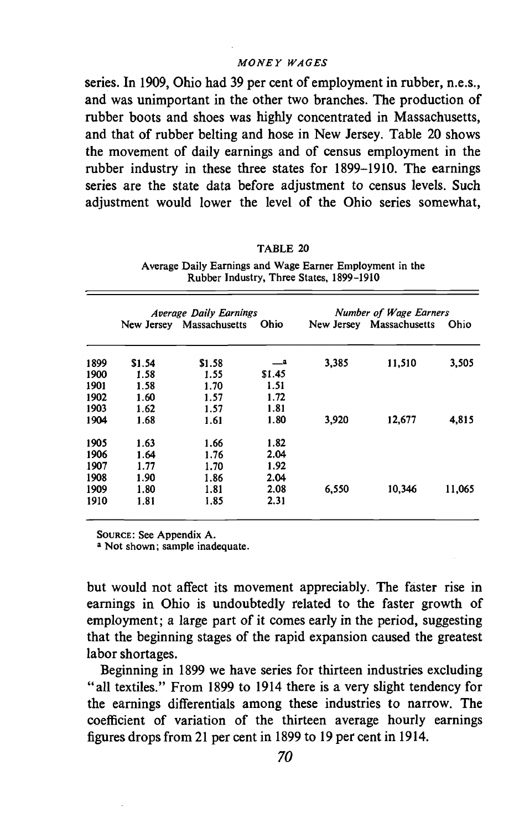series. In 1909, Ohio had 39 per cent of employment in rubber, n.e.s., and was unimportant in the other two branches. The production of rubber boots and shoes was highly concentrated in Massachusetts, and that of rubber belting and hose in New Jersey. Table 20 shows the movement of daily earnings and of census employment in the rubber industry in these three states for 1899—1910. The earnings series are the state data before adjustment to census levels. Such adjustment would lower the level of the Ohio series somewhat,

# TABLE 20

Average Daily Earnings and Wage Earner Employment in the Rubber Industry, Three States, 1899—1910

|      | <b>Average Daily Earnings</b> |                          |        | Number of Wage Earners |                          |        |
|------|-------------------------------|--------------------------|--------|------------------------|--------------------------|--------|
|      |                               | New Jersey Massachusetts | Ohio   |                        | New Jersey Massachusetts | Ohio   |
| 1899 | \$1.54                        | \$1.58                   | _a     | 3,385                  | 11,510                   | 3,505  |
| 1900 | 1.58                          | 1.55                     | \$1.45 |                        |                          |        |
| 1901 | 1.58                          | 1.70                     | 1.51   |                        |                          |        |
| 1902 | 1.60                          | 1.57                     | 1.72   |                        |                          |        |
| 1903 | 1.62                          | 1.57                     | 1.81   |                        |                          |        |
| 1904 | 1.68                          | 1.61                     | 1.80   | 3,920                  | 12,677                   | 4,815  |
| 1905 | 1.63                          | 1.66                     | 1.82   |                        |                          |        |
| 1906 | 1.64                          | 1.76                     | 2.04   |                        |                          |        |
| 1907 | 1.77                          | 1.70                     | 1.92   |                        |                          |        |
| 1908 | 1.90                          | 1.86                     | 2.04   |                        |                          |        |
| 1909 | 1.80                          | 1.81                     | 2.08   | 6.550                  | 10.346                   | 11,065 |
| 1910 | 1.81                          | 1.85                     | 2.31   |                        |                          |        |

SouRcE: See Appendix A.

<sup>a</sup> Not shown; sample inadequate.

but would not affect its movement appreciably. The faster rise in earnings in Ohio is undoubtedly related to the faster growth of employment; a large part of it comes early in the period, suggesting that the beginning stages of the rapid expansion caused the greatest labor shortages.

Beginning in 1899 we have series for thirteen industries excluding "all textiles." From 1899 to 1914 there is a very slight tendency for the earnings differentials among these industries to narrow. The coefficient of variation of the thirteen average hourly earnings figures drops from 21 per cent in 1899 to 19 per cent in 1914.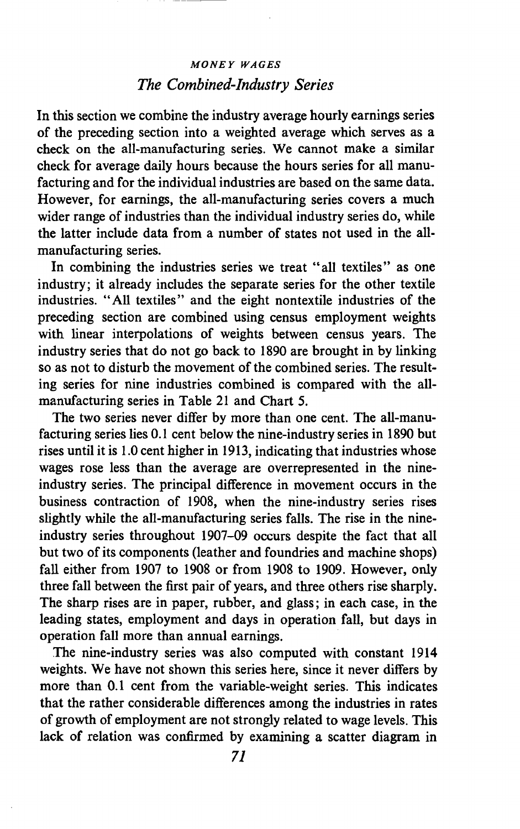# MONEY WAGES The Combined-Industry Series

In this section we combine the industry average hourly earnings series of the preceding section into a weighted average which serves as a check on the all-manufacturing series. We cannot make a similar check for average daily hours because the hours series for all manufacturing and for the individual industries are based on the same data. However, for earnings, the all-manufacturing series covers a much wider range of industries than the individual industry series do, while the latter include data from a number of states not used in the allmanufacturing series.

In combining the industries series we treat "all textiles" as one industry; it already includes the separate series for the other textile industries. "All textiles" and the eight nontextile industries of the preceding section are combined using census employment weights with linear interpolations of weights between census years. The industry series that do not go back to 1890 are brought in by linking so as not to disturb the movement of the combined series. The resulting series for nine industries combined is compared with the allmanufacturing series in Table 21 and Chart 5.

The two series never differ by more than one cent. The all-manufacturing series lies 0.1 cent below the nine-industry series in 1890 but rises until it is 1.0 cent higher in 1913, indicating that industries whose wages rose less than the average are overrepresented in the nineindustry series. The principal difference in movement occurs in the business contraction of 1908, when the nine-industry series rises slightly while the all-manufacturing series falls. The rise in the nineindustry series throughout 1907—09 occurs despite the fact that all but two of its components (leather and foundries and machine shops) fall either from 1907 to 1908 or from 1908 to 1909. However, only three fall between the first pair of years, and three others rise sharply. The sharp rises are in paper, rubber, and glass; in each case, in the leading states, employment and days in operation fall, but days in operation fall more than annual earnings.

The nine-industry series was also computed with constant 1914 weights. We have not shown this series here, since it never differs by more than 0.1 cent from the variable-weight series. This indicates that the rather considerable differences among the industries in rates of growth of employment are not strongly related to wage levels. This lack of relation was confirmed by examining a scatter diagram in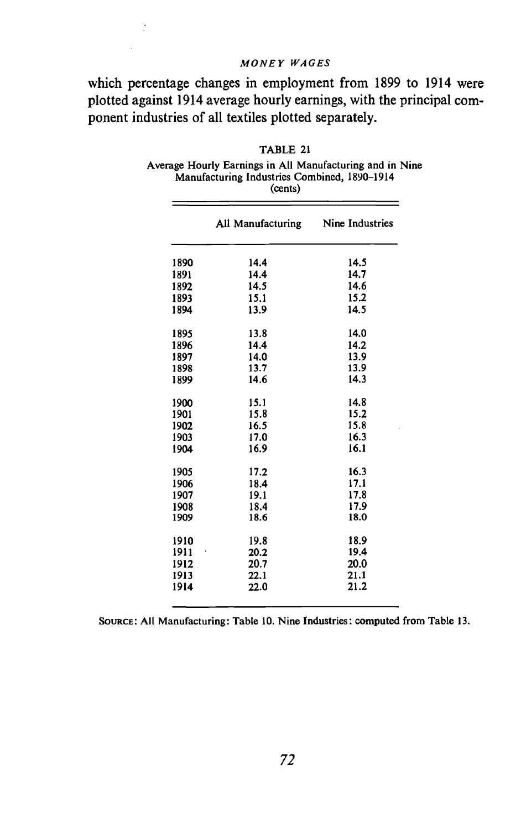which percentage changes in employment from 1899 to 1914 were plotted against 1914 average hourly earnings, with the principal component industries of all textiles plotted separately.

|      | Manufacturing Industries Combined, 1890–1914<br>(cents) |                 |  |  |  |  |
|------|---------------------------------------------------------|-----------------|--|--|--|--|
|      | All Manufacturing                                       | Nine Industries |  |  |  |  |
| 1890 | 14.4                                                    | 14.5            |  |  |  |  |
| 1891 | 14.4                                                    | 14.7            |  |  |  |  |
| 1892 | 14.5                                                    | 14.6            |  |  |  |  |
| 1893 | 15.1                                                    | 15.2            |  |  |  |  |
| 1894 | 13.9                                                    | 14.5            |  |  |  |  |
| 1895 | 13.8                                                    | 14.0            |  |  |  |  |
| 1896 | 14.4                                                    | 14.2            |  |  |  |  |
| 1897 | 14.0                                                    | 13.9            |  |  |  |  |
| 1898 | 13.7                                                    | 13.9            |  |  |  |  |
| 1899 | 14.6                                                    | 14.3            |  |  |  |  |
| 1900 | 15.1                                                    | 14.8            |  |  |  |  |
| 1901 | 15.8                                                    | 15.2            |  |  |  |  |
| 1902 | 16.5                                                    | 15.8            |  |  |  |  |
| 1903 | 17.0                                                    | 16.3            |  |  |  |  |
| 1904 | 16.9                                                    | 16.1            |  |  |  |  |
| 1905 | 17.2                                                    | 16.3            |  |  |  |  |
| 1906 | 18.4                                                    | 17.1            |  |  |  |  |
| 1907 | 19.1                                                    | 17.8            |  |  |  |  |
| 1908 | 18.4                                                    | 17.9            |  |  |  |  |
| 1909 | 18.6                                                    | 18.0            |  |  |  |  |
| 1910 | 19.8                                                    | 18.9            |  |  |  |  |
| 1911 | 20.2                                                    | 19.4            |  |  |  |  |
| 1912 | 20.7                                                    | 20.0            |  |  |  |  |
| 1913 | 22.1                                                    | 21.1            |  |  |  |  |
| 1914 | 22.0                                                    | 21.2            |  |  |  |  |
|      |                                                         |                 |  |  |  |  |

#### TABLE 21

Average Hourly Earnings in All Manufacturing and in Nine Manufacturing Industries Combined, 1890—1914

SouRcE: All Manufacturing: Table 10. Nine fndustries: computed from Table 13.